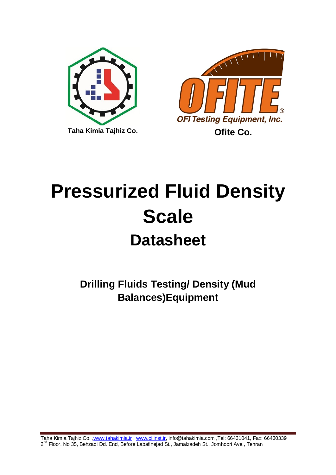



## **Pressurized Fluid Density Scale Datasheet**

**Drilling Fluids Testing/ Density (Mud Balances)Equipment**

Taha Kimia Tajhiz Co. [,www.tahakimia.ir](http://www.tahakimia.ir/) , [www.oilinst.ir,](http://www.oilinst.ir/) info@tahakimia.com ,Tel: 66431041, Fax: 66430339 2<sup>nd</sup> Floor, No 35, Behzadi Dd. End, Before Labafinejad St., Jamalzadeh St., Jomhoori Ave., Tehran